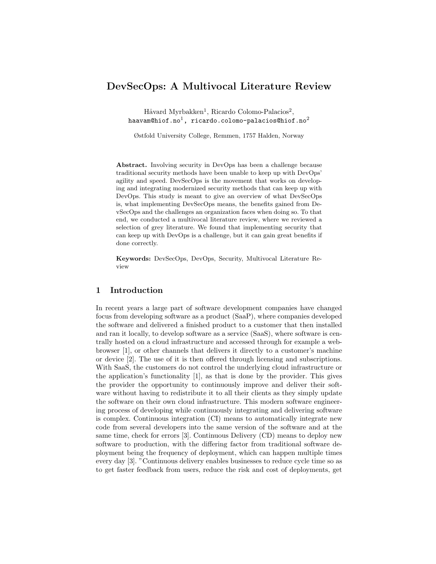# DevSecOps: A Multivocal Literature Review

Håvard Myrbakken<sup>1</sup>, Ricardo Colomo-Palacios<sup>2</sup>, haavam@hiof.no<sup>1</sup>, ricardo.colomo-palacios@hiof.no<sup>2</sup>

Østfold University College, Remmen, 1757 Halden, Norway

Abstract. Involving security in DevOps has been a challenge because traditional security methods have been unable to keep up with DevOps' agility and speed. DevSecOps is the movement that works on developing and integrating modernized security methods that can keep up with DevOps. This study is meant to give an overview of what DevSecOps is, what implementing DevSecOps means, the benefits gained from DevSecOps and the challenges an organization faces when doing so. To that end, we conducted a multivocal literature review, where we reviewed a selection of grey literature. We found that implementing security that can keep up with DevOps is a challenge, but it can gain great benefits if done correctly.

Keywords: DevSecOps, DevOps, Security, Multivocal Literature Review

## 1 Introduction

In recent years a large part of software development companies have changed focus from developing software as a product (SaaP), where companies developed the software and delivered a finished product to a customer that then installed and ran it locally, to develop software as a service (SaaS), where software is centrally hosted on a cloud infrastructure and accessed through for example a webbrowser [1], or other channels that delivers it directly to a customer's machine or device [2]. The use of it is then offered through licensing and subscriptions. With SaaS, the customers do not control the underlying cloud infrastructure or the application's functionality [1], as that is done by the provider. This gives the provider the opportunity to continuously improve and deliver their software without having to redistribute it to all their clients as they simply update the software on their own cloud infrastructure. This modern software engineering process of developing while continuously integrating and delivering software is complex. Continuous integration (CI) means to automatically integrate new code from several developers into the same version of the software and at the same time, check for errors [3]. Continuous Delivery (CD) means to deploy new software to production, with the differing factor from traditional software deployment being the frequency of deployment, which can happen multiple times every day [3]. "Continuous delivery enables businesses to reduce cycle time so as to get faster feedback from users, reduce the risk and cost of deployments, get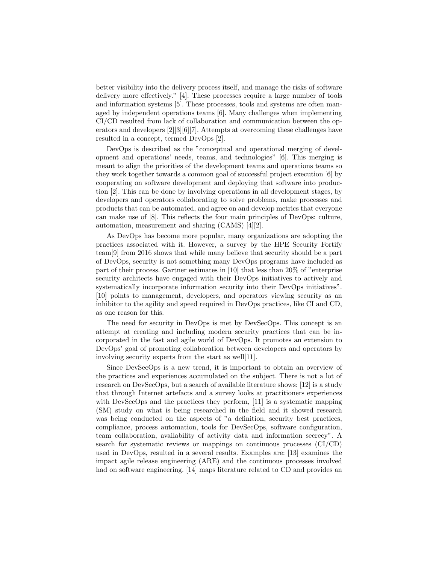better visibility into the delivery process itself, and manage the risks of software delivery more effectively." [4]. These processes require a large number of tools and information systems [5]. These processes, tools and systems are often managed by independent operations teams [6]. Many challenges when implementing CI/CD resulted from lack of collaboration and communication between the operators and developers [2][3][6][7]. Attempts at overcoming these challenges have resulted in a concept, termed DevOps [2].

DevOps is described as the "conceptual and operational merging of development and operations' needs, teams, and technologies" [6]. This merging is meant to align the priorities of the development teams and operations teams so they work together towards a common goal of successful project execution [6] by cooperating on software development and deploying that software into production [2]. This can be done by involving operations in all development stages, by developers and operators collaborating to solve problems, make processes and products that can be automated, and agree on and develop metrics that everyone can make use of [8]. This reflects the four main principles of DevOps: culture, automation, measurement and sharing (CAMS) [4][2].

As DevOps has become more popular, many organizations are adopting the practices associated with it. However, a survey by the HPE Security Fortify team[9] from 2016 shows that while many believe that security should be a part of DevOps, security is not something many DevOps programs have included as part of their process. Gartner estimates in [10] that less than 20% of "enterprise security architects have engaged with their DevOps initiatives to actively and systematically incorporate information security into their DevOps initiatives". [10] points to management, developers, and operators viewing security as an inhibitor to the agility and speed required in DevOps practices, like CI and CD, as one reason for this.

The need for security in DevOps is met by DevSecOps. This concept is an attempt at creating and including modern security practices that can be incorporated in the fast and agile world of DevOps. It promotes an extension to DevOps' goal of promoting collaboration between developers and operators by involving security experts from the start as well[11].

Since DevSecOps is a new trend, it is important to obtain an overview of the practices and experiences accumulated on the subject. There is not a lot of research on DevSecOps, but a search of available literature shows: [12] is a study that through Internet artefacts and a survey looks at practitioners experiences with DevSecOps and the practices they perform, [11] is a systematic mapping (SM) study on what is being researched in the field and it showed research was being conducted on the aspects of "a definition, security best practices, compliance, process automation, tools for DevSecOps, software configuration, team collaboration, availability of activity data and information secrecy". A search for systematic reviews or mappings on continuous processes (CI/CD) used in DevOps, resulted in a several results. Examples are: [13] examines the impact agile release engineering (ARE) and the continuous processes involved had on software engineering. [14] maps literature related to CD and provides an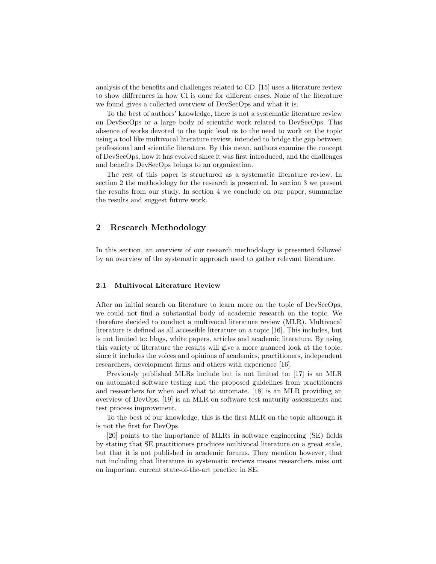analysis of the benefits and challenges related to CD. [15] uses a literature review to show differences in how CI is done for different cases. None of the literature we found gives a collected overview of DevSecOps and what it is.

To the best of authors' knowledge, there is not a systematic literature review on DevSecOps or a large body of scientific work related to DevSecOps. This absence of works devoted to the topic lead us to the need to work on the topic using a tool like multivocal literature review, intended to bridge the gap between professional and scientific literature. By this mean, authors examine the concept of DevSecOps, how it has evolved since it was first introduced, and the challenges and benefits DevSecOps brings to an organization.

The rest of this paper is structured as a systematic literature review. In section 2 the methodology for the research is presented. In section 3 we present the results from our study. In section 4 we conclude on our paper, summarize the results and suggest future work.

# 2 Research Methodology

In this section, an overview of our research methodology is presented followed by an overview of the systematic approach used to gather relevant literature.

## 2.1 Multivocal Literature Review

After an initial search on literature to learn more on the topic of DevSecOps, we could not find a substantial body of academic research on the topic. We therefore decided to conduct a multivocal literature review (MLR). Multivocal literature is defined as all accessible literature on a topic [16]. This includes, but is not limited to: blogs, white papers, articles and academic literature. By using this variety of literature the results will give a more nuanced look at the topic, since it includes the voices and opinions of academics, practitioners, independent researchers, development firms and others with experience [16].

Previously published MLRs include but is not limited to: [17] is an MLR on automated software testing and the proposed guidelines from practitioners and researchers for when and what to automate. [18] is an MLR providing an overview of DevOps. [19] is an MLR on software test maturity assessments and test process improvement.

To the best of our knowledge, this is the first MLR on the topic although it is not the first for DevOps.

[20] points to the importance of MLRs in software engineering (SE) fields by stating that SE practitioners produces multivocal literature on a great scale, but that it is not published in academic forums. They mention however, that not including that literature in systematic reviews means researchers miss out on important current state-of-the-art practice in SE.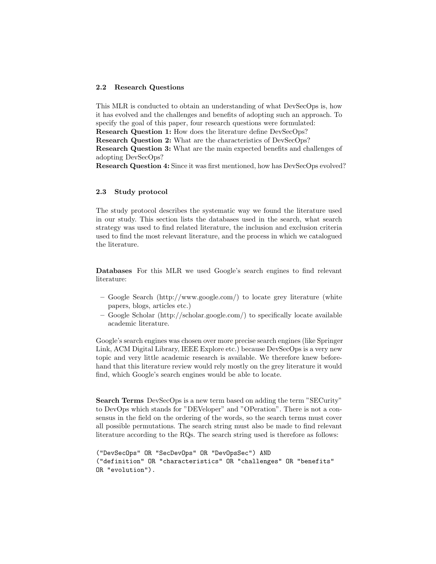#### 2.2 Research Questions

This MLR is conducted to obtain an understanding of what DevSecOps is, how it has evolved and the challenges and benefits of adopting such an approach. To specify the goal of this paper, four research questions were formulated: Research Question 1: How does the literature define DevSecOps? Research Question 2: What are the characteristics of DevSecOps? Research Question 3: What are the main expected benefits and challenges of adopting DevSecOps?

Research Question 4: Since it was first mentioned, how has DevSecOps evolved?

## 2.3 Study protocol

The study protocol describes the systematic way we found the literature used in our study. This section lists the databases used in the search, what search strategy was used to find related literature, the inclusion and exclusion criteria used to find the most relevant literature, and the process in which we catalogued the literature.

Databases For this MLR we used Google's search engines to find relevant literature:

- Google Search (http://www.google.com/) to locate grey literature (white papers, blogs, articles etc.)
- Google Scholar (http://scholar.google.com/) to specifically locate available academic literature.

Google's search engines was chosen over more precise search engines (like Springer Link, ACM Digital Library, IEEE Explore etc.) because DevSecOps is a very new topic and very little academic research is available. We therefore knew beforehand that this literature review would rely mostly on the grey literature it would find, which Google's search engines would be able to locate.

Search Terms DevSecOps is a new term based on adding the term "SECurity" to DevOps which stands for "DEVeloper" and "OPeration". There is not a consensus in the field on the ordering of the words, so the search terms must cover all possible permutations. The search string must also be made to find relevant literature according to the RQs. The search string used is therefore as follows:

```
("DevSecOps" OR "SecDevOps" OR "DevOpsSec") AND
("definition" OR "characteristics" OR "challenges" OR "benefits"
OR "evolution").
```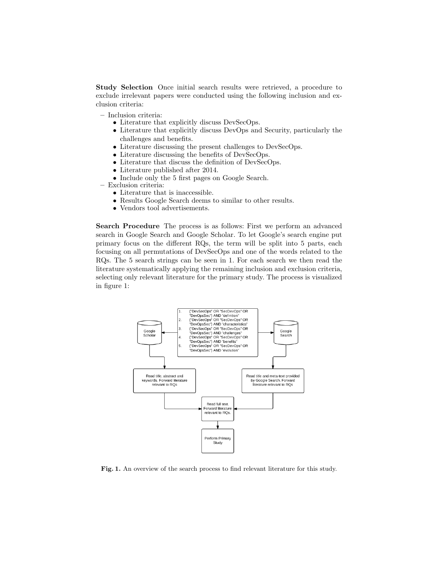Study Selection Once initial search results were retrieved, a procedure to exclude irrelevant papers were conducted using the following inclusion and exclusion criteria:

- Inclusion criteria:
	- Literature that explicitly discuss DevSecOps.
	- Literature that explicitly discuss DevOps and Security, particularly the challenges and benefits.
	- Literature discussing the present challenges to DevSecOps.
	- Literature discussing the benefits of DevSecOps.
	- Literature that discuss the definition of DevSecOps.
	- Literature published after 2014.
	- Include only the 5 first pages on Google Search.
- Exclusion criteria:
	- Literature that is inaccessible.
	- Results Google Search deems to similar to other results.
	- Vendors tool advertisements.

Search Procedure The process is as follows: First we perform an advanced search in Google Search and Google Scholar. To let Google's search engine put primary focus on the different RQs, the term will be split into 5 parts, each focusing on all permutations of DevSecOps and one of the words related to the RQs. The 5 search strings can be seen in 1. For each search we then read the literature systematically applying the remaining inclusion and exclusion criteria, selecting only relevant literature for the primary study. The process is visualized in figure 1:



Fig. 1. An overview of the search process to find relevant literature for this study.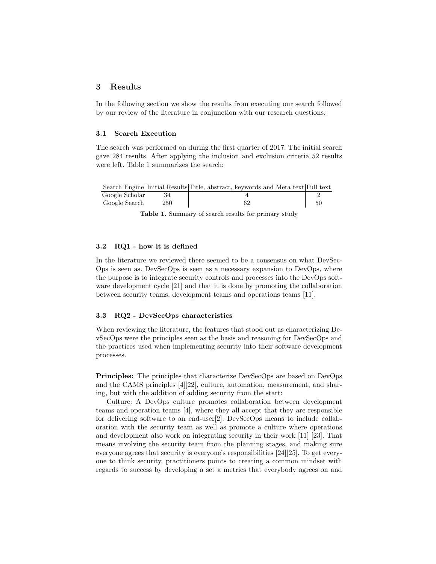## 3 Results

In the following section we show the results from executing our search followed by our review of the literature in conjunction with our research questions.

### 3.1 Search Execution

The search was performed on during the first quarter of 2017. The initial search gave 284 results. After applying the inclusion and exclusion criteria 52 results were left. Table 1 summarizes the search:

|                |     | Search Engine Initial Results Title, abstract, keywords and Meta text Full text |  |
|----------------|-----|---------------------------------------------------------------------------------|--|
| Google Scholar |     |                                                                                 |  |
| Google Search  | 250 |                                                                                 |  |

Table 1. Summary of search results for primary study

#### 3.2 RQ1 - how it is defined

In the literature we reviewed there seemed to be a consensus on what DevSec-Ops is seen as. DevSecOps is seen as a necessary expansion to DevOps, where the purpose is to integrate security controls and processes into the DevOps software development cycle [21] and that it is done by promoting the collaboration between security teams, development teams and operations teams [11].

#### 3.3 RQ2 - DevSecOps characteristics

When reviewing the literature, the features that stood out as characterizing DevSecOps were the principles seen as the basis and reasoning for DevSecOps and the practices used when implementing security into their software development processes.

Principles: The principles that characterize DevSecOps are based on DevOps and the CAMS principles [4][22], culture, automation, measurement, and sharing, but with the addition of adding security from the start:

Culture: A DevOps culture promotes collaboration between development teams and operation teams [4], where they all accept that they are responsible for delivering software to an end-user[2]. DevSecOps means to include collaboration with the security team as well as promote a culture where operations and development also work on integrating security in their work [11] [23]. That means involving the security team from the planning stages, and making sure everyone agrees that security is everyone's responsibilities [24][25]. To get everyone to think security, practitioners points to creating a common mindset with regards to success by developing a set a metrics that everybody agrees on and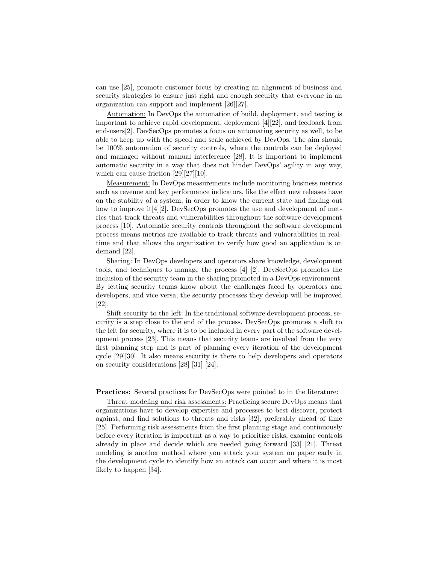can use [25], promote customer focus by creating an alignment of business and security strategies to ensure just right and enough security that everyone in an organization can support and implement [26][27].

Automation: In DevOps the automation of build, deployment, and testing is important to achieve rapid development, deployment [4][22], and feedback from end-users[2]. DevSecOps promotes a focus on automating security as well, to be able to keep up with the speed and scale achieved by DevOps. The aim should be 100% automation of security controls, where the controls can be deployed and managed without manual interference [28]. It is important to implement automatic security in a way that does not hinder DevOps' agility in any way, which can cause friction [29][27][10].

Measurement: In DevOps measurements include monitoring business metrics such as revenue and key performance indicators, like the effect new releases have on the stability of a system, in order to know the current state and finding out how to improve it<sup>[4]</sup>[2]. DevSecOps promotes the use and development of metrics that track threats and vulnerabilities throughout the software development process [10]. Automatic security controls throughout the software development process means metrics are available to track threats and vulnerabilities in realtime and that allows the organization to verify how good an application is on demand [22].

Sharing: In DevOps developers and operators share knowledge, development tools, and techniques to manage the process [4] [2]. DevSecOps promotes the inclusion of the security team in the sharing promoted in a DevOps environment. By letting security teams know about the challenges faced by operators and developers, and vice versa, the security processes they develop will be improved [22].

Shift security to the left: In the traditional software development process, security is a step close to the end of the process. DevSecOps promotes a shift to the left for security, where it is to be included in every part of the software development process [23]. This means that security teams are involved from the very first planning step and is part of planning every iteration of the development cycle [29][30]. It also means security is there to help developers and operators on security considerations [28] [31] [24].

Practices: Several practices for DevSecOps were pointed to in the literature:

Threat modeling and risk assessments: Practicing secure DevOps means that organizations have to develop expertise and processes to best discover, protect against, and find solutions to threats and risks [32], preferably ahead of time [25]. Performing risk assessments from the first planning stage and continuously before every iteration is important as a way to prioritize risks, examine controls already in place and decide which are needed going forward [33] [21]. Threat modeling is another method where you attack your system on paper early in the development cycle to identify how an attack can occur and where it is most likely to happen [34].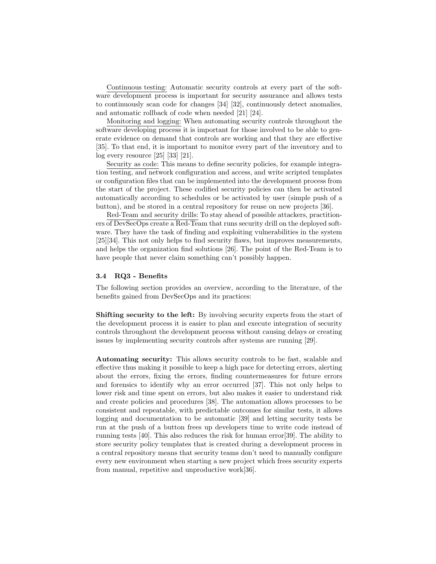Continuous testing: Automatic security controls at every part of the software development process is important for security assurance and allows tests to continuously scan code for changes [34] [32], continuously detect anomalies, and automatic rollback of code when needed [21] [24].

Monitoring and logging: When automating security controls throughout the software developing process it is important for those involved to be able to generate evidence on demand that controls are working and that they are effective [35]. To that end, it is important to monitor every part of the inventory and to log every resource [25] [33] [21].

Security as code: This means to define security policies, for example integration testing, and network configuration and access, and write scripted templates or configuration files that can be implemented into the development process from the start of the project. These codified security policies can then be activated automatically according to schedules or be activated by user (simple push of a button), and be stored in a central repository for reuse on new projects [36].

Red-Team and security drills: To stay ahead of possible attackers, practitioners of DevSecOps create a Red-Team that runs security drill on the deployed software. They have the task of finding and exploiting vulnerabilities in the system [25][34]. This not only helps to find security flaws, but improves measurements, and helps the organization find solutions [26]. The point of the Red-Team is to have people that never claim something can't possibly happen.

#### 3.4 RQ3 - Benefits

The following section provides an overview, according to the literature, of the benefits gained from DevSecOps and its practices:

Shifting security to the left: By involving security experts from the start of the development process it is easier to plan and execute integration of security controls throughout the development process without causing delays or creating issues by implementing security controls after systems are running [29].

Automating security: This allows security controls to be fast, scalable and effective thus making it possible to keep a high pace for detecting errors, alerting about the errors, fixing the errors, finding countermeasures for future errors and forensics to identify why an error occurred [37]. This not only helps to lower risk and time spent on errors, but also makes it easier to understand risk and create policies and procedures [38]. The automation allows processes to be consistent and repeatable, with predictable outcomes for similar tests, it allows logging and documentation to be automatic [39] and letting security tests be run at the push of a button frees up developers time to write code instead of running tests [40]. This also reduces the risk for human error[39]. The ability to store security policy templates that is created during a development process in a central repository means that security teams don't need to manually configure every new environment when starting a new project which frees security experts from manual, repetitive and unproductive work[36].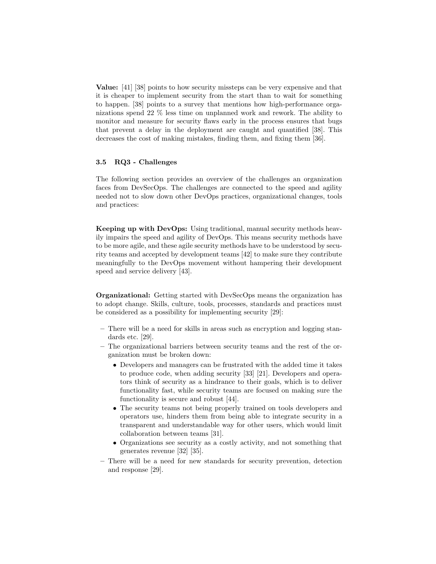Value: [41] [38] points to how security missteps can be very expensive and that it is cheaper to implement security from the start than to wait for something to happen. [38] points to a survey that mentions how high-performance organizations spend 22 % less time on unplanned work and rework. The ability to monitor and measure for security flaws early in the process ensures that bugs that prevent a delay in the deployment are caught and quantified [38]. This decreases the cost of making mistakes, finding them, and fixing them [36].

### 3.5 RQ3 - Challenges

The following section provides an overview of the challenges an organization faces from DevSecOps. The challenges are connected to the speed and agility needed not to slow down other DevOps practices, organizational changes, tools and practices:

Keeping up with DevOps: Using traditional, manual security methods heavily impairs the speed and agility of DevOps. This means security methods have to be more agile, and these agile security methods have to be understood by security teams and accepted by development teams [42] to make sure they contribute meaningfully to the DevOps movement without hampering their development speed and service delivery [43].

Organizational: Getting started with DevSecOps means the organization has to adopt change. Skills, culture, tools, processes, standards and practices must be considered as a possibility for implementing security [29]:

- There will be a need for skills in areas such as encryption and logging standards etc. [29].
- The organizational barriers between security teams and the rest of the organization must be broken down:
	- Developers and managers can be frustrated with the added time it takes to produce code, when adding security [33] [21]. Developers and operators think of security as a hindrance to their goals, which is to deliver functionality fast, while security teams are focused on making sure the functionality is secure and robust [44].
	- The security teams not being properly trained on tools developers and operators use, hinders them from being able to integrate security in a transparent and understandable way for other users, which would limit collaboration between teams [31].
	- Organizations see security as a costly activity, and not something that generates revenue [32] [35].
- There will be a need for new standards for security prevention, detection and response [29].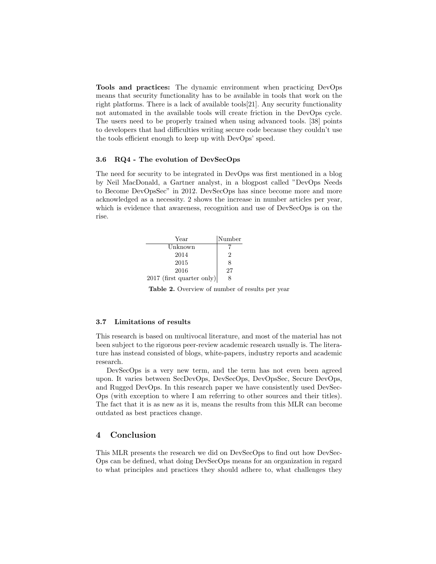Tools and practices: The dynamic environment when practicing DevOps means that security functionality has to be available in tools that work on the right platforms. There is a lack of available tools[21]. Any security functionality not automated in the available tools will create friction in the DevOps cycle. The users need to be properly trained when using advanced tools. [38] points to developers that had difficulties writing secure code because they couldn't use the tools efficient enough to keep up with DevOps' speed.

#### 3.6 RQ4 - The evolution of DevSecOps

The need for security to be integrated in DevOps was first mentioned in a blog by Neil MacDonald, a Gartner analyst, in a blogpost called "DevOps Needs to Become DevOpsSec" in 2012. DevSecOps has since become more and more acknowledged as a necessity. 2 shows the increase in number articles per year, which is evidence that awareness, recognition and use of DevSecOps is on the rise.

| Year                        | Number |
|-----------------------------|--------|
| Unknown                     |        |
| 2014                        | 2      |
| 2015                        | 8      |
| 2016                        | 27     |
| $2017$ (first quarter only) | x      |

Table 2. Overview of number of results per year

#### 3.7 Limitations of results

This research is based on multivocal literature, and most of the material has not been subject to the rigorous peer-review academic research usually is. The literature has instead consisted of blogs, white-papers, industry reports and academic research.

DevSecOps is a very new term, and the term has not even been agreed upon. It varies between SecDevOps, DevSecOps, DevOpsSec, Secure DevOps, and Rugged DevOps. In this research paper we have consistently used DevSec-Ops (with exception to where I am referring to other sources and their titles). The fact that it is as new as it is, means the results from this MLR can become outdated as best practices change.

## 4 Conclusion

This MLR presents the research we did on DevSecOps to find out how DevSec-Ops can be defined, what doing DevSecOps means for an organization in regard to what principles and practices they should adhere to, what challenges they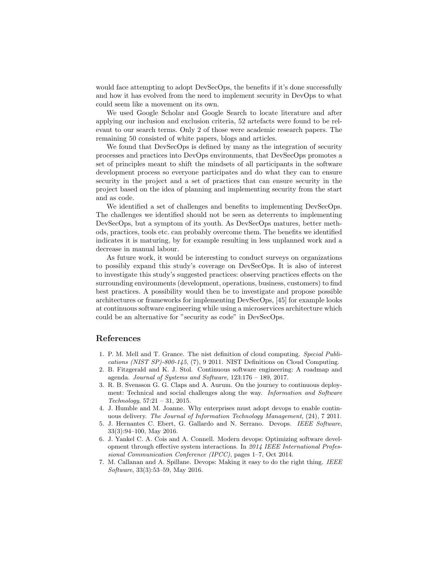would face attempting to adopt DevSecOps, the benefits if it's done successfully and how it has evolved from the need to implement security in DevOps to what could seem like a movement on its own.

We used Google Scholar and Google Search to locate literature and after applying our inclusion and exclusion criteria, 52 artefacts were found to be relevant to our search terms. Only 2 of those were academic research papers. The remaining 50 consisted of white papers, blogs and articles.

We found that DevSecOps is defined by many as the integration of security processes and practices into DevOps environments, that DevSecOps promotes a set of principles meant to shift the mindsets of all participants in the software development process so everyone participates and do what they can to ensure security in the project and a set of practices that can ensure security in the project based on the idea of planning and implementing security from the start and as code.

We identified a set of challenges and benefits to implementing DevSecOps. The challenges we identified should not be seen as deterrents to implementing DevSecOps, but a symptom of its youth. As DevSecOps matures, better methods, practices, tools etc. can probably overcome them. The benefits we identified indicates it is maturing, by for example resulting in less unplanned work and a decrease in manual labour.

As future work, it would be interesting to conduct surveys on organizations to possibly expand this study's coverage on DevSecOps. It is also of interest to investigate this study's suggested practices: observing practices effects on the surrounding environments (development, operations, business, customers) to find best practices. A possibility would then be to investigate and propose possible architectures or frameworks for implementing DevSecOps, [45] for example looks at continuous software engineering while using a microservices architecture which could be an alternative for "security as code" in DevSecOps.

## References

- 1. P. M. Mell and T. Grance. The nist definition of cloud computing. Special Publications (NIST SP)-800-145, (7), 9 2011. NIST Definitions on Cloud Computing.
- 2. B. Fitzgerald and K. J. Stol. Continuous software engineering: A roadmap and agenda. Journal of Systems and Software, 123:176 – 189, 2017.
- 3. R. B. Svensson G. G. Claps and A. Aurum. On the journey to continuous deployment: Technical and social challenges along the way. Information and Software  $Technology, 57:21 - 31, 2015.$
- 4. J. Humble and M. Joanne. Why enterprises must adopt devops to enable continuous delivery. The Journal of Information Technology Management, (24), 7 2011.
- 5. J. Hernantes C. Ebert, G. Gallardo and N. Serrano. Devops. IEEE Software, 33(3):94–100, May 2016.
- 6. J. Yankel C. A. Cois and A. Connell. Modern devops: Optimizing software development through effective system interactions. In 2014 IEEE International Professional Communication Conference (IPCC), pages 1–7, Oct 2014.
- 7. M. Callanan and A. Spillane. Devops: Making it easy to do the right thing. IEEE Software, 33(3):53–59, May 2016.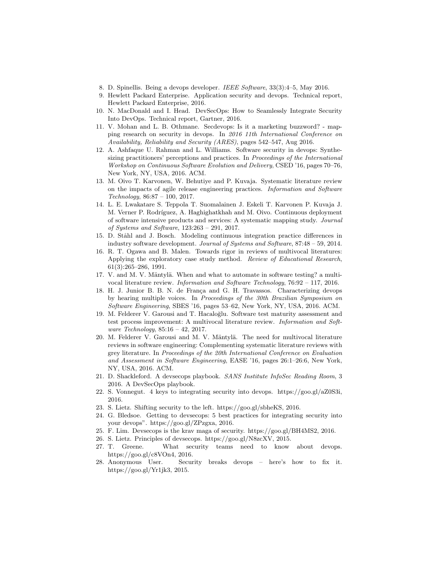- 8. D. Spinellis. Being a devops developer. IEEE Software, 33(3):4–5, May 2016.
- 9. Hewlett Packard Enterprise. Application security and devops. Technical report, Hewlett Packard Enterprise, 2016.
- 10. N. MacDonald and I. Head. DevSecOps: How to Seamlessly Integrate Security Into DevOps. Technical report, Gartner, 2016.
- 11. V. Mohan and L. B. Othmane. Secdevops: Is it a marketing buzzword? mapping research on security in devops. In 2016 11th International Conference on Availability, Reliability and Security (ARES), pages 542–547, Aug 2016.
- 12. A. Ashfaque U. Rahman and L. Williams. Software security in devops: Synthesizing practitioners' perceptions and practices. In Proceedings of the International Workshop on Continuous Software Evolution and Delivery, CSED '16, pages 70–76, New York, NY, USA, 2016. ACM.
- 13. M. Oivo T. Karvonen, W. Behutiye and P. Kuvaja. Systematic literature review on the impacts of agile release engineering practices. Information and Software  $Technology, 86:87 - 100, 2017.$
- 14. L. E. Lwakatare S. Teppola T. Suomalainen J. Eskeli T. Karvonen P. Kuvaja J. M. Verner P. Rodríguez, A. Haghighatkhah and M. Oivo. Continuous deployment of software intensive products and services: A systematic mapping study. Journal of Systems and Software, 123:263 – 291, 2017.
- 15. D. Ståhl and J. Bosch. Modeling continuous integration practice differences in industry software development. Journal of Systems and Software, 87:48 – 59, 2014.
- 16. R. T. Ogawa and B. Malen. Towards rigor in reviews of multivocal literatures: Applying the exploratory case study method. Review of Educational Research, 61(3):265–286, 1991.
- 17. V. and M. V. Mäntylä. When and what to automate in software testing? a multivocal literature review. Information and Software Technology, 76:92 – 117, 2016.
- 18. H. J. Junior B. B. N. de França and G. H. Travassos. Characterizing devops by hearing multiple voices. In Proceedings of the 30th Brazilian Symposium on Software Engineering, SBES '16, pages 53–62, New York, NY, USA, 2016. ACM.
- 19. M. Felderer V. Garousi and T. Hacaloğlu. Software test maturity assessment and test process improvement: A multivocal literature review. Information and Software Technology, 85:16 – 42, 2017.
- 20. M. Felderer V. Garousi and M. V. Mäntylä. The need for multivocal literature reviews in software engineering: Complementing systematic literature reviews with grey literature. In Proceedings of the 20th International Conference on Evaluation and Assessment in Software Engineering, EASE '16, pages 26:1–26:6, New York, NY, USA, 2016. ACM.
- 21. D. Shackleford. A devsecops playbook. SANS Institute InfoSec Reading Room, 3 2016. A DevSecOps playbook.
- 22. S. Vonnegut. 4 keys to integrating security into devops. https://goo.gl/aZ0S3i, 2016.
- 23. S. Lietz. Shifting security to the left. https://goo.gl/sbheKS, 2016.
- 24. G. Bledsoe. Getting to devsecops: 5 best practices for integrating security into your devops". https://goo.gl/ZPzgxa, 2016.
- 25. F. Lim. Devsecops is the krav maga of security. https://goo.gl/BH4MS2, 2016.
- 26. S. Lietz. Principles of devsecops. https://goo.gl/N8zcXV, 2015.
- 27. T. Greene. What security teams need to know about devops. https://goo.gl/c8VOn4, 2016.
- 28. Anonymous User. Security breaks devops here's how to fix it. https://goo.gl/Yr1jk3, 2015.